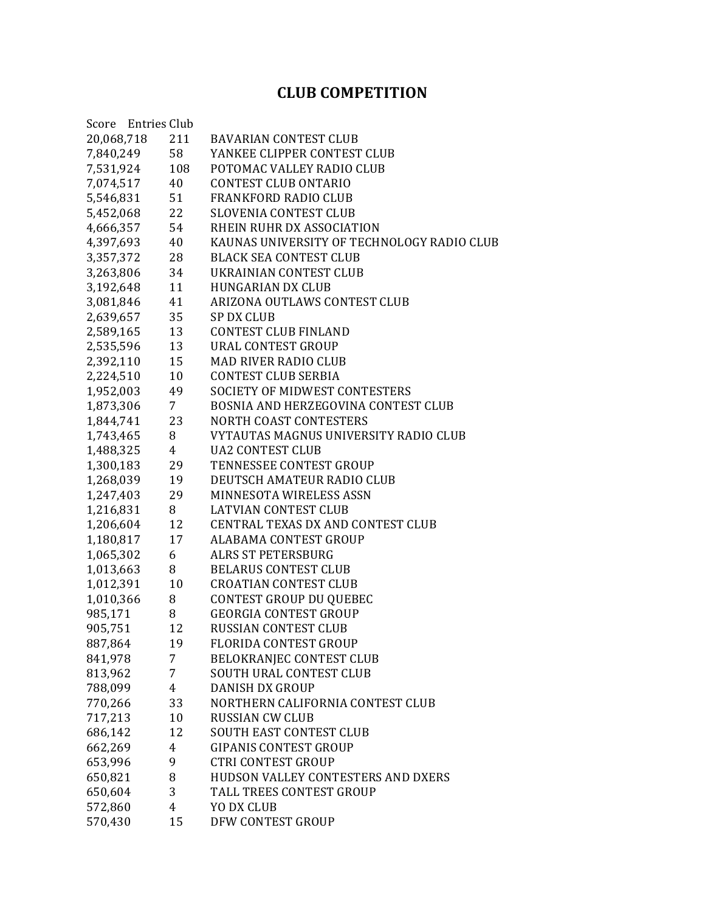## **CLUB COMPETITION**

| Score Entries Club |                 |                                            |  |  |
|--------------------|-----------------|--------------------------------------------|--|--|
| 20,068,718         | 211             | <b>BAVARIAN CONTEST CLUB</b>               |  |  |
| 7,840,249          | 58              | YANKEE CLIPPER CONTEST CLUB                |  |  |
| 7,531,924          | 108             | POTOMAC VALLEY RADIO CLUB                  |  |  |
| 7,074,517          | 40              | <b>CONTEST CLUB ONTARIO</b>                |  |  |
| 5,546,831          | 51              | <b>FRANKFORD RADIO CLUB</b>                |  |  |
| 5,452,068          | 22              | <b>SLOVENIA CONTEST CLUB</b>               |  |  |
| 4,666,357          | 54              | RHEIN RUHR DX ASSOCIATION                  |  |  |
| 4,397,693          | 40              | KAUNAS UNIVERSITY OF TECHNOLOGY RADIO CLUB |  |  |
| 3,357,372          | 28              | <b>BLACK SEA CONTEST CLUB</b>              |  |  |
| 3,263,806          | 34              | UKRAINIAN CONTEST CLUB                     |  |  |
| 3,192,648          | 11              | <b>HUNGARIAN DX CLUB</b>                   |  |  |
| 3,081,846          | 41              | ARIZONA OUTLAWS CONTEST CLUB               |  |  |
| 2,639,657          | 35              | <b>SP DX CLUB</b>                          |  |  |
| 2,589,165          | 13              | <b>CONTEST CLUB FINLAND</b>                |  |  |
| 2,535,596          | 13              | URAL CONTEST GROUP                         |  |  |
| 2,392,110          | 15              | <b>MAD RIVER RADIO CLUB</b>                |  |  |
| 2,224,510          | 10              | <b>CONTEST CLUB SERBIA</b>                 |  |  |
| 1,952,003          | 49              | <b>SOCIETY OF MIDWEST CONTESTERS</b>       |  |  |
| 1,873,306          | $7\overline{ }$ | BOSNIA AND HERZEGOVINA CONTEST CLUB        |  |  |
| 1,844,741          | 23              | NORTH COAST CONTESTERS                     |  |  |
| 1,743,465          | 8               | VYTAUTAS MAGNUS UNIVERSITY RADIO CLUB      |  |  |
| 1,488,325          | $\overline{4}$  | <b>UA2 CONTEST CLUB</b>                    |  |  |
| 1,300,183          | 29              | TENNESSEE CONTEST GROUP                    |  |  |
| 1,268,039          | 19              | DEUTSCH AMATEUR RADIO CLUB                 |  |  |
| 1,247,403          | 29              | MINNESOTA WIRELESS ASSN                    |  |  |
| 1,216,831          | 8               | <b>LATVIAN CONTEST CLUB</b>                |  |  |
| 1,206,604          | 12              | CENTRAL TEXAS DX AND CONTEST CLUB          |  |  |
| 1,180,817          | 17              | <b>ALABAMA CONTEST GROUP</b>               |  |  |
| 1,065,302          | 6               | <b>ALRS ST PETERSBURG</b>                  |  |  |
| 1,013,663          | 8               | <b>BELARUS CONTEST CLUB</b>                |  |  |
| 1,012,391          | 10              | <b>CROATIAN CONTEST CLUB</b>               |  |  |
| 1,010,366          | 8               | <b>CONTEST GROUP DU QUEBEC</b>             |  |  |
| 985,171            | 8               | <b>GEORGIA CONTEST GROUP</b>               |  |  |
| 905,751            | 12              | RUSSIAN CONTEST CLUB                       |  |  |
| 887,864            | 19              | <b>FLORIDA CONTEST GROUP</b>               |  |  |
| 841,978            | 7               | BELOKRANJEC CONTEST CLUB                   |  |  |
| 813,962            | 7               | <b>SOUTH URAL CONTEST CLUB</b>             |  |  |
| 788,099            | 4               | <b>DANISH DX GROUP</b>                     |  |  |
| 770,266            | 33              | NORTHERN CALIFORNIA CONTEST CLUB           |  |  |
| 717,213            | 10              | <b>RUSSIAN CW CLUB</b>                     |  |  |
| 686,142            | 12              | <b>SOUTH EAST CONTEST CLUB</b>             |  |  |
| 662,269            | $\overline{4}$  | <b>GIPANIS CONTEST GROUP</b>               |  |  |
| 653,996            | 9               | <b>CTRI CONTEST GROUP</b>                  |  |  |
| 650,821            | 8               | HUDSON VALLEY CONTESTERS AND DXERS         |  |  |
| 650,604            | 3               | TALL TREES CONTEST GROUP                   |  |  |
| 572,860            | 4               | YO DX CLUB                                 |  |  |
| 570,430            | 15              | DFW CONTEST GROUP                          |  |  |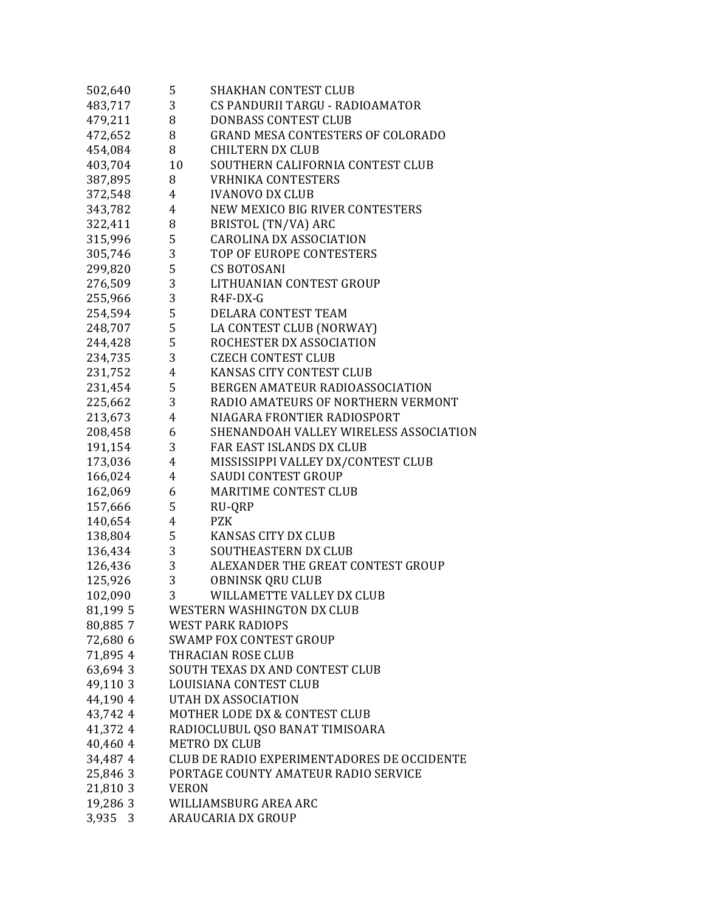| 502,640  | 5                                           | <b>SHAKHAN CONTEST CLUB</b>              |  |
|----------|---------------------------------------------|------------------------------------------|--|
| 483,717  | 3 <sup>7</sup>                              | CS PANDURII TARGU - RADIOAMATOR          |  |
| 479,211  | 8                                           | <b>DONBASS CONTEST CLUB</b>              |  |
| 472,652  | 8                                           | <b>GRAND MESA CONTESTERS OF COLORADO</b> |  |
| 454,084  | 8                                           | <b>CHILTERN DX CLUB</b>                  |  |
| 403,704  | 10                                          | SOUTHERN CALIFORNIA CONTEST CLUB         |  |
| 387,895  | 8                                           | <b>VRHNIKA CONTESTERS</b>                |  |
| 372,548  | $4\overline{ }$                             | <b>IVANOVO DX CLUB</b>                   |  |
| 343,782  | 4                                           | NEW MEXICO BIG RIVER CONTESTERS          |  |
| 322,411  | 8                                           | BRISTOL (TN/VA) ARC                      |  |
| 315,996  | 5                                           | <b>CAROLINA DX ASSOCIATION</b>           |  |
| 305,746  | $\mathbf{3}$                                | TOP OF EUROPE CONTESTERS                 |  |
| 299,820  | 5 <sub>5</sub>                              | <b>CS BOTOSANI</b>                       |  |
| 276,509  | $\sqrt{3}$                                  | LITHUANIAN CONTEST GROUP                 |  |
| 255,966  | 3                                           | $R4F-DX-G$                               |  |
| 254,594  | 5 <sub>5</sub>                              | DELARA CONTEST TEAM                      |  |
| 248,707  | $5^{\circ}$                                 | LA CONTEST CLUB (NORWAY)                 |  |
| 244,428  | $5^{\circ}$                                 | ROCHESTER DX ASSOCIATION                 |  |
| 234,735  | 3 <sup>7</sup>                              | <b>CZECH CONTEST CLUB</b>                |  |
| 231,752  | 4                                           | KANSAS CITY CONTEST CLUB                 |  |
| 231,454  | 5                                           | BERGEN AMATEUR RADIOASSOCIATION          |  |
| 225,662  | 3 <sup>1</sup>                              | RADIO AMATEURS OF NORTHERN VERMONT       |  |
| 213,673  | $\overline{4}$                              | NIAGARA FRONTIER RADIOSPORT              |  |
| 208,458  | 6                                           | SHENANDOAH VALLEY WIRELESS ASSOCIATION   |  |
| 191,154  | 3 <sup>7</sup>                              | FAR EAST ISLANDS DX CLUB                 |  |
| 173,036  | $\overline{4}$                              | MISSISSIPPI VALLEY DX/CONTEST CLUB       |  |
| 166,024  | $4\overline{ }$                             | <b>SAUDI CONTEST GROUP</b>               |  |
| 162,069  | 6                                           | MARITIME CONTEST CLUB                    |  |
| 157,666  | 5                                           | RU-QRP                                   |  |
| 140,654  | $4\overline{ }$                             | <b>PZK</b>                               |  |
| 138,804  | $5^{\circ}$                                 | <b>KANSAS CITY DX CLUB</b>               |  |
| 136,434  | $3^{\circ}$                                 | SOUTHEASTERN DX CLUB                     |  |
| 126,436  | 3                                           | ALEXANDER THE GREAT CONTEST GROUP        |  |
| 125,926  | $\sqrt{3}$                                  | <b>OBNINSK QRU CLUB</b>                  |  |
| 102,090  | 3                                           | WILLAMETTE VALLEY DX CLUB                |  |
| 81,199 5 |                                             | WESTERN WASHINGTON DX CLUB               |  |
| 80,8857  |                                             | <b>WEST PARK RADIOPS</b>                 |  |
| 72,680 6 |                                             | <b>SWAMP FOX CONTEST GROUP</b>           |  |
| 71,895 4 |                                             | THRACIAN ROSE CLUB                       |  |
| 63,694 3 |                                             | SOUTH TEXAS DX AND CONTEST CLUB          |  |
| 49,110 3 |                                             | LOUISIANA CONTEST CLUB                   |  |
| 44,190 4 |                                             | UTAH DX ASSOCIATION                      |  |
| 43,742 4 |                                             | MOTHER LODE DX & CONTEST CLUB            |  |
| 41,372 4 | RADIOCLUBUL QSO BANAT TIMISOARA             |                                          |  |
| 40,460 4 | <b>METRO DX CLUB</b>                        |                                          |  |
| 34,487 4 | CLUB DE RADIO EXPERIMENTADORES DE OCCIDENTE |                                          |  |
| 25,846 3 | PORTAGE COUNTY AMATEUR RADIO SERVICE        |                                          |  |
| 21,810 3 | <b>VERON</b>                                |                                          |  |
| 19,286 3 |                                             | WILLIAMSBURG AREA ARC                    |  |
| 3,935 3  |                                             | ARAUCARIA DX GROUP                       |  |
|          |                                             |                                          |  |